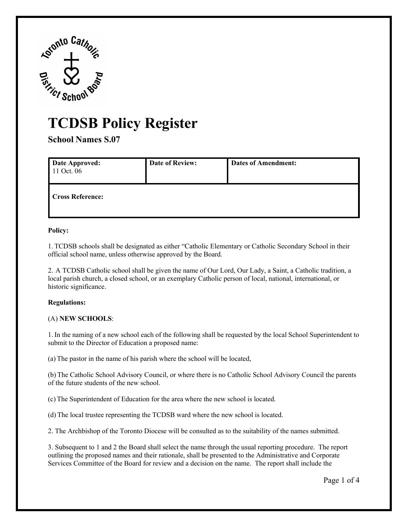

# **TCDSB Policy Register**

**School Names S.07** 

| <b>Date Approved:</b><br>11 Oct. 06 | <b>Date of Review:</b> | <b>Dates of Amendment:</b> |
|-------------------------------------|------------------------|----------------------------|
| <b>Cross Reference:</b>             |                        |                            |

## **Policy:**

 official school name, unless otherwise approved by the Board. 1. TCDSB schools shall be designated as either "Catholic Elementary or Catholic Secondary School in their

 2. A TCDSB Catholic school shall be given the name of Our Lord, Our Lady, a Saint, a Catholic tradition, a historic significance. local parish church, a closed school, or an exemplary Catholic person of local, national, international, or

## **Regulations:**

## (A) NEW SCHOOLS:

submit to the Director of Education a proposed name: (A) **NEW SCHOOLS**: 1. In the naming of a new school each of the following shall be requested by the local School Superintendent to

(a) The pastor in the name of his parish where the school will be located,

 of the future students of the new school. (b) The Catholic School Advisory Council, or where there is no Catholic School Advisory Council the parents

(c) The Superintendent of Education for the area where the new school is located.

(c) The Superintendent of Education for the area where the new school is located. (d) The local trustee representing the TCDSB ward where the new school is located.

2. The Archbishop of the Toronto Diocese will be consulted as to the suitability of the names submitted.

 2. The Archbishop of the Toronto Diocese will be consulted as to the suitability of the names submitted. 3. Subsequent to 1 and 2 the Board shall select the name through the usual reporting procedure. The report Services Committee of the Board for review and a decision on the name. The report shall include the outlining the proposed names and their rationale, shall be presented to the Administrative and Corporate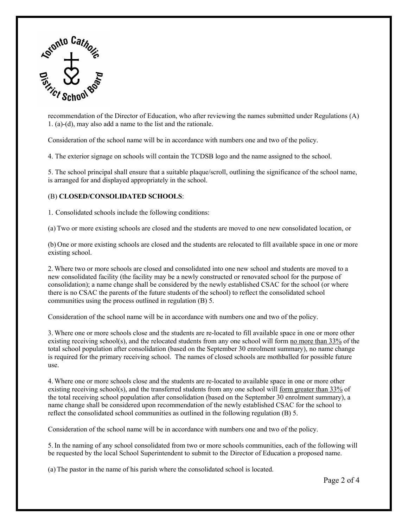

1. (a)-(d), may also add a name to the list and the rationale. recommendation of the Director of Education, who after reviewing the names submitted under Regulations (A)

Consideration of the school name will be in accordance with numbers one and two of the policy.

1. (a)-(d), may also add a name to the list and the rationale.<br>Consideration of the school name will be in accordance with numbers one and two of the policy.<br>4. The exterior signage on schools will contain the TCDSB logo a

 is arranged for and displayed appropriately in the school. (B) **CLOSED/CONSOLIDATED SCHOOLS**: 5. The school principal shall ensure that a suitable plaque/scroll, outlining the significance of the school name,

#### (B) CLOSED/CONSOLIDATED SCHOOLS:

1. Consolidated schools include the following conditions:

(a) Two or more existing schools are closed and the students are moved to one new consolidated location, or

existing school. (b) One or more existing schools are closed and the students are relocated to fill available space in one or more

 consolidation); a name change shall be considered by the newly established CSAC for the school (or where communities using the process outlined in regulation (B) 5. 2. Where two or more schools are closed and consolidated into one new school and students are moved to a new consolidated facility (the facility may be a newly constructed or renovated school for the purpose of there is no CSAC the parents of the future students of the school) to reflect the consolidated school

Consideration of the school name will be in accordance with numbers one and two of the policy.

 total school population after consolidation (based on the September 30 enrolment summary), no name change is required for the primary receiving school. The names of closed schools are mothballed for possible future use. 3. Where one or more schools close and the students are re-located to fill available space in one or more other existing receiving school(s), and the relocated students from any one school will form no more than 33% of the

reflect the consolidated school communities as outlined in the following regulation (B) 5. 4. Where one or more schools close and the students are re-located to available space in one or more other existing receiving school(s), and the transferred students from any one school will form greater than 33% of the total receiving school population after consolidation (based on the September 30 enrolment summary), a name change shall be considered upon recommendation of the newly established CSAC for the school to

reflect the consolidated school communities as outlined in the following regulation (B) 5. Consideration of the school name will be in accordance with numbers one and two of the policy.

 be requested by the local School Superintendent to submit to the Director of Education a proposed name. (a) The pastor in the name of his parish where the consolidated school is located. 5. In the naming of any school consolidated from two or more schools communities, each of the following will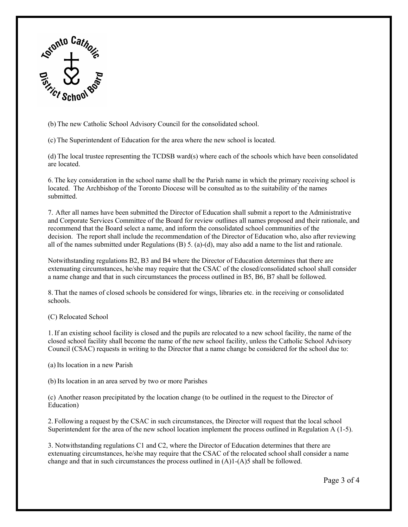

(b) The new Catholic School Advisory Council for the consolidated school.

(c) The Superintendent of Education for the area where the new school is located.

 (d) The local trustee representing the TCDSB ward(s) where each of the schools which have been consolidated are located.

 located. The Archbishop of the Toronto Diocese will be consulted as to the suitability of the names submitted. 6. The key consideration in the school name shall be the Parish name in which the primary receiving school is

submitted.<br>7. After all names have been submitted the Director of Education shall submit a report to the Administrative decision. The report shall include the recommendation of the Director of Education who, also after reviewing and Corporate Services Committee of the Board for review outlines all names proposed and their rationale, and recommend that the Board select a name, and inform the consolidated school communities of the

 all of the names submitted under Regulations (B) 5. (a)-(d), may also add a name to the list and rationale. Notwithstanding regulations B2, B3 and B4 where the Director of Education determines that there are a name change and that in such circumstances the process outlined in B5, B6, B7 shall be followed. extenuating circumstances, he/she may require that the CSAC of the closed/consolidated school shall consider

schools. 8. That the names of closed schools be considered for wings, libraries etc. in the receiving or consolidated

(C) Relocated School

 closed school facility shall become the name of the new school facility, unless the Catholic School Advisory Council (CSAC) requests in writing to the Director that a name change be considered for the school due to: (a) Its location in a new Parish 1. If an existing school facility is closed and the pupils are relocated to a new school facility, the name of the

(b) Its location in an area served by two or more Parishes

 (c) Another reason precipitated by the location change (to be outlined in the request to the Director of Education)

Superintendent for the area of the new school location implement the process outlined in Regulation  $A(1-5)$ . 2. Following a request by the CSAC in such circumstances, the Director will request that the local school

change and that in such circumstances the process outlined in (A)1-(A)5 shall be followed.<br>Page 3 of 4 3. Notwithstanding regulations C1 and C2, where the Director of Education determines that there are extenuating circumstances, he/she may require that the CSAC of the relocated school shall consider a name